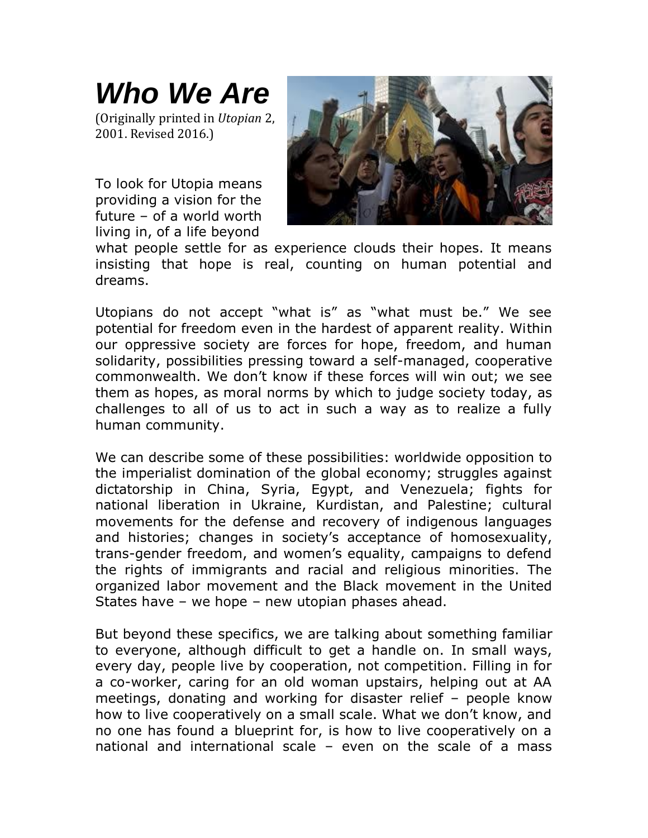## *Who We Are*

(Originally printed in *Utopian* 2, 2001. Revised 2016.)

To look for Utopia means providing a vision for the future – of a world worth living in, of a life beyond



what people settle for as experience clouds their hopes. It means insisting that hope is real, counting on human potential and dreams.

Utopians do not accept "what is" as "what must be." We see potential for freedom even in the hardest of apparent reality. Within our oppressive society are forces for hope, freedom, and human solidarity, possibilities pressing toward a self-managed, cooperative commonwealth. We don't know if these forces will win out; we see them as hopes, as moral norms by which to judge society today, as challenges to all of us to act in such a way as to realize a fully human community.

We can describe some of these possibilities: worldwide opposition to the imperialist domination of the global economy; struggles against dictatorship in China, Syria, Egypt, and Venezuela; fights for national liberation in Ukraine, Kurdistan, and Palestine; cultural movements for the defense and recovery of indigenous languages and histories; changes in society's acceptance of homosexuality, trans-gender freedom, and women's equality, campaigns to defend the rights of immigrants and racial and religious minorities. The organized labor movement and the Black movement in the United States have – we hope – new utopian phases ahead.

But beyond these specifics, we are talking about something familiar to everyone, although difficult to get a handle on. In small ways, every day, people live by cooperation, not competition. Filling in for a co-worker, caring for an old woman upstairs, helping out at AA meetings, donating and working for disaster relief – people know how to live cooperatively on a small scale. What we don't know, and no one has found a blueprint for, is how to live cooperatively on a national and international scale – even on the scale of a mass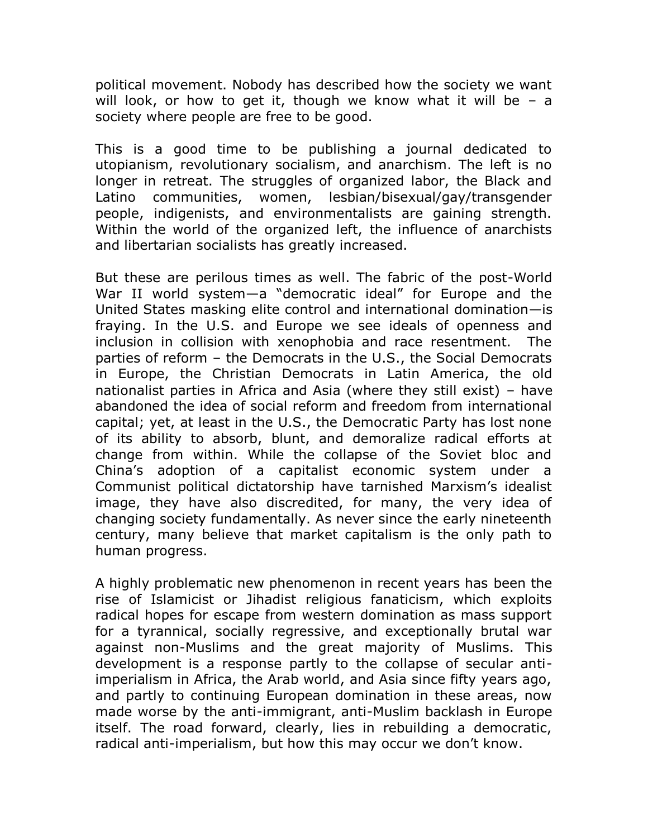political movement. Nobody has described how the society we want will look, or how to get it, though we know what it will be  $-$  a society where people are free to be good.

This is a good time to be publishing a journal dedicated to utopianism, revolutionary socialism, and anarchism. The left is no longer in retreat. The struggles of organized labor, the Black and Latino communities, women, lesbian/bisexual/gay/transgender people, indigenists, and environmentalists are gaining strength. Within the world of the organized left, the influence of anarchists and libertarian socialists has greatly increased.

But these are perilous times as well. The fabric of the post-World War II world system—a "democratic ideal" for Europe and the United States masking elite control and international domination—is fraying. In the U.S. and Europe we see ideals of openness and inclusion in collision with xenophobia and race resentment. The parties of reform – the Democrats in the U.S., the Social Democrats in Europe, the Christian Democrats in Latin America, the old nationalist parties in Africa and Asia (where they still exist) – have abandoned the idea of social reform and freedom from international capital; yet, at least in the U.S., the Democratic Party has lost none of its ability to absorb, blunt, and demoralize radical efforts at change from within. While the collapse of the Soviet bloc and China's adoption of a capitalist economic system under a Communist political dictatorship have tarnished Marxism's idealist image, they have also discredited, for many, the very idea of changing society fundamentally. As never since the early nineteenth century, many believe that market capitalism is the only path to human progress.

A highly problematic new phenomenon in recent years has been the rise of Islamicist or Jihadist religious fanaticism, which exploits radical hopes for escape from western domination as mass support for a tyrannical, socially regressive, and exceptionally brutal war against non-Muslims and the great majority of Muslims. This development is a response partly to the collapse of secular antiimperialism in Africa, the Arab world, and Asia since fifty years ago, and partly to continuing European domination in these areas, now made worse by the anti-immigrant, anti-Muslim backlash in Europe itself. The road forward, clearly, lies in rebuilding a democratic, radical anti-imperialism, but how this may occur we don't know.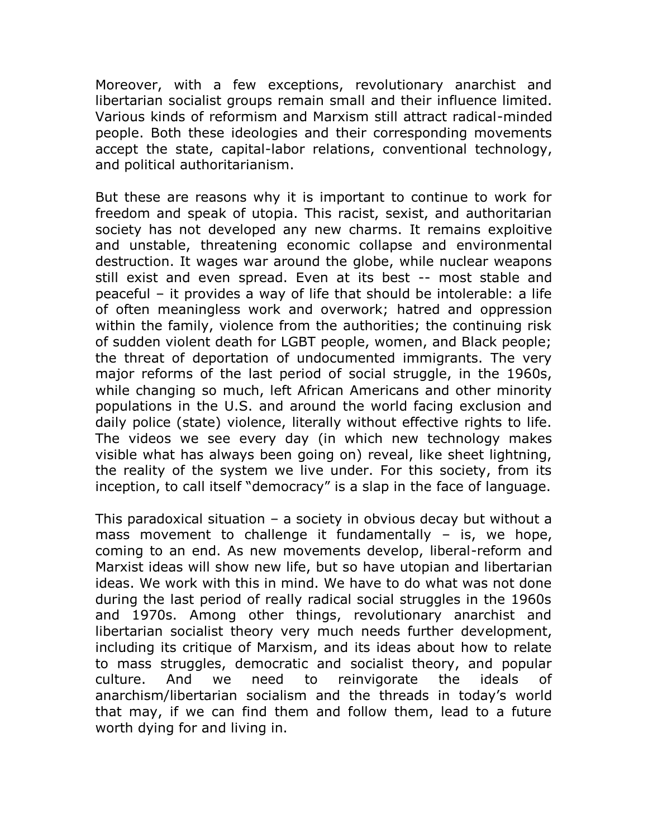Moreover, with a few exceptions, revolutionary anarchist and libertarian socialist groups remain small and their influence limited. Various kinds of reformism and Marxism still attract radical-minded people. Both these ideologies and their corresponding movements accept the state, capital-labor relations, conventional technology, and political authoritarianism.

But these are reasons why it is important to continue to work for freedom and speak of utopia. This racist, sexist, and authoritarian society has not developed any new charms. It remains exploitive and unstable, threatening economic collapse and environmental destruction. It wages war around the globe, while nuclear weapons still exist and even spread. Even at its best -- most stable and peaceful – it provides a way of life that should be intolerable: a life of often meaningless work and overwork; hatred and oppression within the family, violence from the authorities; the continuing risk of sudden violent death for LGBT people, women, and Black people; the threat of deportation of undocumented immigrants. The very major reforms of the last period of social struggle, in the 1960s, while changing so much, left African Americans and other minority populations in the U.S. and around the world facing exclusion and daily police (state) violence, literally without effective rights to life. The videos we see every day (in which new technology makes visible what has always been going on) reveal, like sheet lightning, the reality of the system we live under. For this society, from its inception, to call itself "democracy" is a slap in the face of language.

This paradoxical situation – a society in obvious decay but without a mass movement to challenge it fundamentally – is, we hope, coming to an end. As new movements develop, liberal-reform and Marxist ideas will show new life, but so have utopian and libertarian ideas. We work with this in mind. We have to do what was not done during the last period of really radical social struggles in the 1960s and 1970s. Among other things, revolutionary anarchist and libertarian socialist theory very much needs further development, including its critique of Marxism, and its ideas about how to relate to mass struggles, democratic and socialist theory, and popular culture. And we need to reinvigorate the ideals of anarchism/libertarian socialism and the threads in today's world that may, if we can find them and follow them, lead to a future worth dying for and living in.